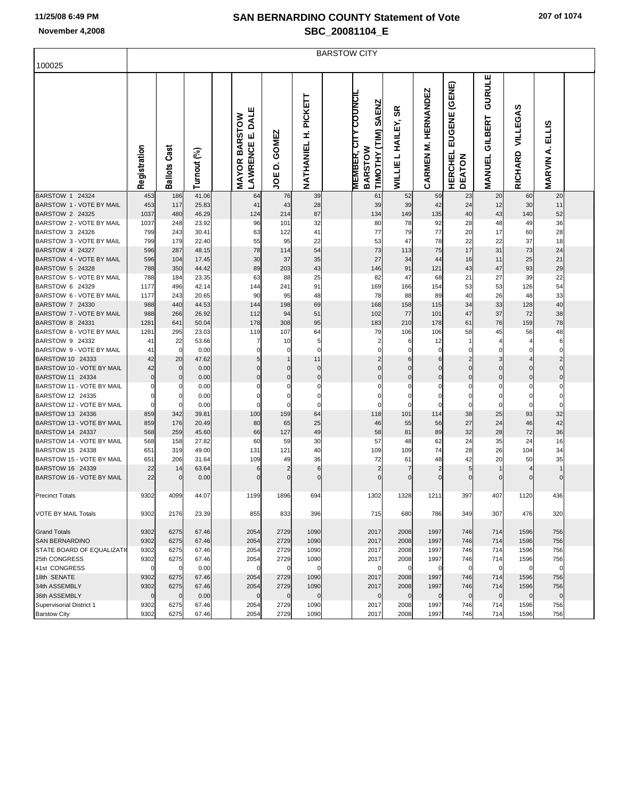|                                               | <b>BARSTOW CITY</b> |                   |                |  |                                                 |                                  |                                |  |                                                                        |                                                |                               |                                           |                                    |                            |                                    |  |
|-----------------------------------------------|---------------------|-------------------|----------------|--|-------------------------------------------------|----------------------------------|--------------------------------|--|------------------------------------------------------------------------|------------------------------------------------|-------------------------------|-------------------------------------------|------------------------------------|----------------------------|------------------------------------|--|
| 100025                                        |                     |                   |                |  |                                                 |                                  |                                |  |                                                                        |                                                |                               |                                           |                                    |                            |                                    |  |
|                                               | Registration        | Ballots Cast      | Turnout (%)    |  | <b>LAWRENCE E. DALE</b><br><b>MAYOR BARSTOW</b> | GOMEZ<br>$\dot{\mathbf{a}}$<br>ξ | <b>H. PICKETT</b><br>NATHANIEL |  | <b>MEMBER, CITY COUNCI</b><br><b>SAENZ</b><br>TIMOTHY (TIM)<br>BARSTOW | ≃<br>ø<br><b>HAILEY,</b><br>┙<br><b>WILLIE</b> | <b>M. HERNANDEZ</b><br>CARMEN | EUGENE (GENE)<br><b>HERCHEL</b><br>DEATON | GURULE<br>GILBERT<br><b>MANUEL</b> | VILLEGAS<br><b>RICHARD</b> | <b>ELLIS</b><br>∢<br><b>MARVIN</b> |  |
| BARSTOW 1 24324                               | 453                 | 186               | 41.06          |  | 64                                              | 76                               | 39                             |  | 61                                                                     | 52                                             | 59                            | 23                                        | 20                                 | 60                         | 20                                 |  |
| BARSTOW 1 - VOTE BY MAIL                      | 453                 | 117               | 25.83          |  | 41                                              | 43                               | 28                             |  | 39                                                                     | 39                                             | 42                            | 24                                        | 12                                 | 30                         | 11                                 |  |
| BARSTOW 2 24325                               | 1037                | 480               | 46.29          |  | 124                                             | 214                              | 87                             |  | 134                                                                    | 149                                            | 135                           | 40                                        | 43                                 | 140                        | 52                                 |  |
| BARSTOW 2 - VOTE BY MAIL                      | 1037                | 248               | 23.92          |  | 96                                              | 101                              | 32                             |  | 80                                                                     | 78                                             | 92                            | 28                                        | 48                                 | 49                         | 36                                 |  |
| BARSTOW 3 24326<br>BARSTOW 3 - VOTE BY MAIL   | 799<br>799          | 243<br>179        | 30.41<br>22.40 |  | 63<br>55                                        | 122<br>95                        | 41<br>22                       |  | 77<br>53                                                               | 79<br>47                                       | 77<br>78                      | 20<br>22                                  | 17<br>22                           | 60<br>37                   | 28<br>18                           |  |
| BARSTOW 4 24327                               | 596                 | 287               | 48.15          |  | 78                                              | 114                              | 54                             |  | 73                                                                     | 113                                            | 75                            | 17                                        | 31                                 | 73                         | 24                                 |  |
| BARSTOW 4 - VOTE BY MAIL                      | 596                 | 104               | 17.45          |  | 30                                              | 37                               | 35                             |  | 27                                                                     | 34                                             | 44                            | 16                                        | 11                                 | 25                         | 21                                 |  |
| BARSTOW 5 24328                               | 788                 | 350               | 44.42          |  | 89                                              | 203                              | 43                             |  | 146                                                                    | 91                                             | 121                           | 43                                        | 47                                 | 93                         | 29                                 |  |
| BARSTOW 5 - VOTE BY MAIL                      | 788                 | 184               | 23.35          |  | 63                                              | 88                               | 25                             |  | 82                                                                     | 47                                             | 68                            | 21                                        | 27                                 | 39                         | 22                                 |  |
| BARSTOW 6 24329                               | 1177                | 496               | 42.14          |  | 144                                             | 241                              | 91                             |  | 169                                                                    | 166                                            | 154                           | 53                                        | 53                                 | 126                        | 54                                 |  |
| BARSTOW 6 - VOTE BY MAIL                      | 1177                | 243               | 20.65          |  | 90                                              | 95                               | 48                             |  | 78                                                                     | 88                                             | 89                            | 40                                        | 26                                 | 48                         | 33                                 |  |
| BARSTOW 7 24330                               | 988                 | 440               | 44.53          |  | 144                                             | 198                              | 69                             |  | 168                                                                    | 158                                            | 115                           | 34                                        | 33                                 | 128                        | 40                                 |  |
| BARSTOW 7 - VOTE BY MAIL                      | 988                 | 266               | 26.92          |  | 112                                             | 94                               | 51                             |  | 102                                                                    | 77                                             | 101                           | 47                                        | 37                                 | 72                         | 38                                 |  |
| BARSTOW 8 24331                               | 1281                | 641               | 50.04          |  | 178                                             | 308                              | 95                             |  | 183                                                                    | 210                                            | 178                           | 61                                        | 76                                 | 159                        | 78                                 |  |
| BARSTOW 8 - VOTE BY MAIL                      | 1281                | 295               | 23.03          |  | 119                                             | 107                              | 64                             |  | 79                                                                     | 106                                            | 106                           | 58                                        | 45                                 | 56                         | 48                                 |  |
| BARSTOW 9 24332                               | 41                  | 22                | 53.66          |  | 7                                               | 10                               | 5                              |  | $\overline{c}$                                                         | 6                                              | 12                            |                                           |                                    |                            | 6                                  |  |
| BARSTOW 9 - VOTE BY MAIL                      | 41                  | 0                 | 0.00           |  | 0                                               | 0                                | $\mathbf 0$                    |  | $\mathbf 0$                                                            | 0                                              | 0                             |                                           | $\mathbf 0$                        |                            | $\Omega$                           |  |
| BARSTOW 10 24333<br>BARSTOW 10 - VOTE BY MAIL | 42<br>42            | 20<br>$\mathbf 0$ | 47.62<br>0.00  |  | 5<br>$\Omega$                                   | $\Omega$                         | 11<br>$\pmb{0}$                |  | $\overline{2}$<br>$\Omega$                                             | 6<br>$\Omega$                                  | 6<br>C                        | $\Omega$                                  | 3<br>$\mathbf{0}$                  | $\Omega$                   | $\overline{2}$<br>$\Omega$         |  |
| BARSTOW 11 24334                              | $\mathbf 0$         | $\mathbf 0$       | 0.00           |  | 0                                               | $\mathbf 0$                      | $\pmb{0}$                      |  | $\mathbf 0$                                                            | $\mathbf 0$                                    | $\mathbf 0$                   | 0                                         | $\overline{0}$                     | $\Omega$                   | 0                                  |  |
| BARSTOW 11 - VOTE BY MAIL                     |                     | 0                 | 0.00           |  | 0                                               | 0                                | 0                              |  | 0                                                                      | 0                                              | C                             | 0                                         | 0                                  |                            | 0                                  |  |
| BARSTOW 12 24335                              |                     | $\mathbf 0$       | 0.00           |  | 0                                               | 0                                | $\pmb{0}$                      |  | 0                                                                      | 0                                              | C                             | 0                                         | 0                                  |                            | 0                                  |  |
| BARSTOW 12 - VOTE BY MAIL                     |                     | $\mathbf 0$       | 0.00           |  | $\Omega$                                        | 0                                | $\pmb{0}$                      |  | $\mathbf 0$                                                            | 0                                              |                               | $\Omega$                                  | $\mathbf 0$                        |                            | $\Omega$                           |  |
| BARSTOW 13 24336                              | 859                 | 342               | 39.81          |  | 100                                             | 159                              | 64                             |  | 118                                                                    | 101                                            | 114                           | 38                                        | 25                                 | 93                         | 32                                 |  |
| BARSTOW 13 - VOTE BY MAIL                     | 859                 | 176               | 20.49          |  | 80                                              | 65                               | 25                             |  | 46                                                                     | 55                                             | 56                            | 27                                        | 24                                 | 46                         | 42                                 |  |
| BARSTOW 14 24337                              | 568                 | 259               | 45.60          |  | 66                                              | 127                              | 49                             |  | 58                                                                     | 81                                             | 89                            | 32                                        | 28                                 | 72                         | 36                                 |  |
| BARSTOW 14 - VOTE BY MAIL                     | 568                 | 158               | 27.82          |  | 60                                              | 59                               | 30                             |  | 57                                                                     | 48                                             | 62                            | 24                                        | 35                                 | 24                         | 16                                 |  |
| BARSTOW 15 24338                              | 651                 | 319               | 49.00          |  | 131                                             | 121                              | 40                             |  | 109                                                                    | 109                                            | 74                            | 28                                        | 26                                 | 104                        | 34                                 |  |
| BARSTOW 15 - VOTE BY MAIL<br>BARSTOW 16 24339 | 651<br>22           | 206<br>14         | 31.64<br>63.64 |  | 109<br>6                                        | 49                               | 36<br>6                        |  | 72<br>$\overline{2}$                                                   | 61<br>7                                        | 48                            | 42<br>5                                   | 20                                 | 50                         | 35                                 |  |
| BARSTOW 16 - VOTE BY MAIL                     | 22                  | $\mathbf 0$       | 0.00           |  | $\Omega$                                        | $\Omega$                         | $\mathbf 0$                    |  | $\Omega$                                                               | $\mathbf 0$                                    | $\sqrt{ }$                    | $\Omega$                                  | $\mathbf{0}$                       |                            | $\Omega$                           |  |
| <b>Precinct Totals</b>                        | 9302                | 4099              | 44.07          |  | 1199                                            | 1896                             | 694                            |  | 1302                                                                   | 1328                                           | 1211                          | 397                                       | 407                                | 1120                       | 436                                |  |
| <b>VOTE BY MAIL Totals</b>                    | 9302                | 2176              | 23.39          |  | 855                                             | 833                              | 396                            |  | 715                                                                    | 680                                            | 786                           | 349                                       | 307                                | 476                        | 320                                |  |
| <b>Grand Totals</b>                           | 9302                | 6275              | 67.46          |  | 2054                                            | 2729                             | 1090                           |  | 2017                                                                   | 2008                                           | 1997                          | 746                                       | 714                                | 1596                       | 756                                |  |
| <b>SAN BERNARDINO</b>                         | 9302                | 6275              | 67.46          |  | 2054                                            | 2729                             | 1090                           |  | 2017                                                                   | 2008                                           | 1997                          | 746                                       | 714                                | 1596                       | 756                                |  |
| <b>STATE BOARD OF EQUALIZATI</b>              | 9302                | 6275              | 67.46          |  | 2054                                            | 2729                             | 1090                           |  | 2017                                                                   | 2008                                           | 1997                          | 746                                       | 714                                | 1596                       | 756                                |  |
| 25th CONGRESS<br>41st CONGRESS                | 9302<br>$\Omega$    | 6275<br>0         | 67.46<br>0.00  |  | 2054<br>$\mathbf 0$                             | 2729<br>$\Omega$                 | 1090<br>$\mathbf 0$            |  | 2017<br>$\Omega$                                                       | 2008<br>$\mathbf 0$                            | 1997<br>$\mathsf{C}$          | 746<br>$\Omega$                           | 714<br>$\mathbf 0$                 | 1596                       | 756<br>$\Omega$                    |  |
| 18th SENATE                                   | 9302                | 6275              | 67.46          |  | 2054                                            | 2729                             | 1090                           |  | 2017                                                                   | 2008                                           | 1997                          | 746                                       | 714                                | 1596                       | 756                                |  |
| 34th ASSEMBLY                                 | 9302                | 6275              | 67.46          |  | 2054                                            | 2729                             | 1090                           |  | 2017                                                                   | 2008                                           | 1997                          | 746                                       | 714                                | 1596                       | 756                                |  |
| 36th ASSEMBLY                                 | $\mathbf 0$         | $\mathbf 0$       | 0.00           |  | $\mathbf 0$                                     | $\mathbf{0}$                     | $\mathbf 0$                    |  | $\mathbf 0$                                                            | $\mathbf 0$                                    | $\mathbf 0$                   | $\mathbf 0$                               | $\mathbf 0$                        | $\mathbf 0$                | $\mathbf{0}$                       |  |
| Supervisorial District 1                      | 9302                | 6275              | 67.46          |  | 2054                                            | 2729                             | 1090                           |  | 2017                                                                   | 2008                                           | 1997                          | 746                                       | 714                                | 1596                       | 756                                |  |
| <b>Barstow City</b>                           | 9302                | 6275              | 67.46          |  | 2054                                            | 2729                             | 1090                           |  | 2017                                                                   | 2008                                           | 1997                          | 746                                       | 714                                | 1596                       | 756                                |  |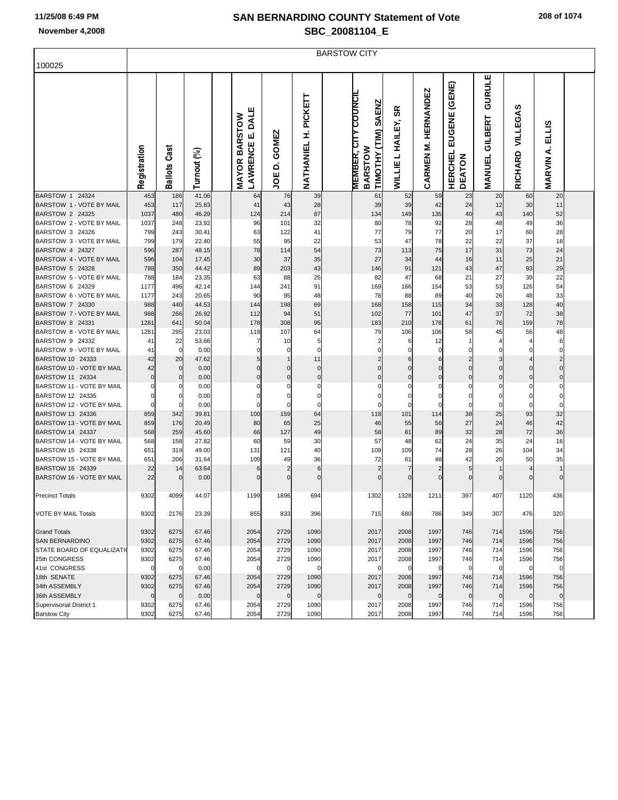|                                               | <b>BARSTOW CITY</b> |                   |                |  |                                                 |                                         |                                |  |                                                                        |                                                |                               |                                           |                                    |                            |                                    |  |
|-----------------------------------------------|---------------------|-------------------|----------------|--|-------------------------------------------------|-----------------------------------------|--------------------------------|--|------------------------------------------------------------------------|------------------------------------------------|-------------------------------|-------------------------------------------|------------------------------------|----------------------------|------------------------------------|--|
| 100025                                        |                     |                   |                |  |                                                 |                                         |                                |  |                                                                        |                                                |                               |                                           |                                    |                            |                                    |  |
|                                               | Registration        | Ballots Cast      | Turnout (%)    |  | <b>LAWRENCE E. DALE</b><br><b>MAYOR BARSTOW</b> | <b>GOMEZ</b><br>$\dot{\mathbf{a}}$<br>ξ | <b>H. PICKETT</b><br>NATHANIEL |  | <b>MEMBER, CITY COUNCI</b><br><b>SAENZ</b><br>TIMOTHY (TIM)<br>BARSTOW | ≃<br>ø<br><b>HAILEY,</b><br>┙<br><b>WILLIE</b> | <b>M. HERNANDEZ</b><br>CARMEN | EUGENE (GENE)<br><b>HERCHEL</b><br>DEATON | GURULE<br>GILBERT<br><b>MANUEL</b> | VILLEGAS<br><b>RICHARD</b> | <b>ELLIS</b><br>∢<br><b>MARVIN</b> |  |
| BARSTOW 1 24324                               | 453                 | 186               | 41.06          |  | 64                                              | 76                                      | 39                             |  | 61                                                                     | 52                                             | 59                            | 23                                        | 20                                 | 60                         | 20                                 |  |
| BARSTOW 1 - VOTE BY MAIL                      | 453                 | 117               | 25.83          |  | 41                                              | 43                                      | 28                             |  | 39                                                                     | 39                                             | 42                            | 24                                        | 12                                 | 30                         | 11                                 |  |
| BARSTOW 2 24325                               | 1037                | 480               | 46.29          |  | 124                                             | 214                                     | 87                             |  | 134                                                                    | 149                                            | 135                           | 40                                        | 43                                 | 140                        | 52                                 |  |
| BARSTOW 2 - VOTE BY MAIL                      | 1037                | 248               | 23.92          |  | 96                                              | 101                                     | 32                             |  | 80                                                                     | 78                                             | 92                            | 28                                        | 48                                 | 49                         | 36                                 |  |
| BARSTOW 3 24326<br>BARSTOW 3 - VOTE BY MAIL   | 799<br>799          | 243<br>179        | 30.41<br>22.40 |  | 63<br>55                                        | 122<br>95                               | 41<br>22                       |  | 77<br>53                                                               | 79<br>47                                       | 77<br>78                      | 20<br>22                                  | 17<br>22                           | 60<br>37                   | 28<br>18                           |  |
| BARSTOW 4 24327                               | 596                 | 287               | 48.15          |  | 78                                              | 114                                     | 54                             |  | 73                                                                     | 113                                            | 75                            | 17                                        | 31                                 | 73                         | 24                                 |  |
| BARSTOW 4 - VOTE BY MAIL                      | 596                 | 104               | 17.45          |  | 30                                              | 37                                      | 35                             |  | 27                                                                     | 34                                             | 44                            | 16                                        | 11                                 | 25                         | 21                                 |  |
| BARSTOW 5 24328                               | 788                 | 350               | 44.42          |  | 89                                              | 203                                     | 43                             |  | 146                                                                    | 91                                             | 121                           | 43                                        | 47                                 | 93                         | 29                                 |  |
| BARSTOW 5 - VOTE BY MAIL                      | 788                 | 184               | 23.35          |  | 63                                              | 88                                      | 25                             |  | 82                                                                     | 47                                             | 68                            | 21                                        | 27                                 | 39                         | 22                                 |  |
| BARSTOW 6 24329                               | 1177                | 496               | 42.14          |  | 144                                             | 241                                     | 91                             |  | 169                                                                    | 166                                            | 154                           | 53                                        | 53                                 | 126                        | 54                                 |  |
| BARSTOW 6 - VOTE BY MAIL                      | 1177                | 243               | 20.65          |  | 90                                              | 95                                      | 48                             |  | 78                                                                     | 88                                             | 89                            | 40                                        | 26                                 | 48                         | 33                                 |  |
| BARSTOW 7 24330                               | 988                 | 440               | 44.53          |  | 144                                             | 198                                     | 69                             |  | 168                                                                    | 158                                            | 115                           | 34                                        | 33                                 | 128                        | 40                                 |  |
| BARSTOW 7 - VOTE BY MAIL                      | 988                 | 266               | 26.92          |  | 112                                             | 94                                      | 51                             |  | 102                                                                    | 77                                             | 101                           | 47                                        | 37                                 | 72                         | 38                                 |  |
| BARSTOW 8 24331                               | 1281                | 641               | 50.04          |  | 178                                             | 308                                     | 95                             |  | 183                                                                    | 210                                            | 178                           | 61                                        | 76                                 | 159                        | 78                                 |  |
| BARSTOW 8 - VOTE BY MAIL                      | 1281                | 295               | 23.03          |  | 119                                             | 107                                     | 64                             |  | 79                                                                     | 106                                            | 106                           | 58                                        | 45                                 | 56                         | 48                                 |  |
| BARSTOW 9 24332                               | 41                  | 22                | 53.66          |  | 7                                               | 10                                      | 5                              |  | $\overline{c}$                                                         | 6                                              | 12                            |                                           |                                    |                            | 6                                  |  |
| BARSTOW 9 - VOTE BY MAIL                      | 41                  | 0                 | 0.00           |  | 0                                               | 0                                       | $\mathbf 0$                    |  | $\mathbf 0$                                                            | 0                                              | 0                             |                                           | $\mathbf 0$                        |                            | $\Omega$                           |  |
| BARSTOW 10 24333<br>BARSTOW 10 - VOTE BY MAIL | 42<br>42            | 20<br>$\mathbf 0$ | 47.62<br>0.00  |  | 5<br>$\Omega$                                   | $\Omega$                                | 11<br>$\pmb{0}$                |  | $\overline{2}$<br>$\Omega$                                             | 6<br>$\Omega$                                  | 6<br>C                        | $\Omega$                                  | 3<br>$\mathbf{0}$                  | $\Omega$                   | $\overline{2}$<br>$\Omega$         |  |
| BARSTOW 11 24334                              | $\mathbf 0$         | $\mathbf 0$       | 0.00           |  | 0                                               | $\mathbf 0$                             | $\pmb{0}$                      |  | $\mathbf 0$                                                            | $\mathbf 0$                                    | $\mathbf 0$                   | 0                                         | $\overline{0}$                     | $\Omega$                   | 0                                  |  |
| BARSTOW 11 - VOTE BY MAIL                     |                     | 0                 | 0.00           |  | 0                                               | 0                                       | 0                              |  | 0                                                                      | 0                                              | C                             | 0                                         | 0                                  |                            | 0                                  |  |
| BARSTOW 12 24335                              |                     | $\mathbf 0$       | 0.00           |  | 0                                               | 0                                       | $\pmb{0}$                      |  | 0                                                                      | 0                                              | C                             | 0                                         | 0                                  |                            | 0                                  |  |
| BARSTOW 12 - VOTE BY MAIL                     |                     | $\mathbf 0$       | 0.00           |  | $\Omega$                                        | 0                                       | $\pmb{0}$                      |  | $\mathbf 0$                                                            | 0                                              |                               | $\Omega$                                  | $\mathbf 0$                        |                            | $\Omega$                           |  |
| BARSTOW 13 24336                              | 859                 | 342               | 39.81          |  | 100                                             | 159                                     | 64                             |  | 118                                                                    | 101                                            | 114                           | 38                                        | 25                                 | 93                         | 32                                 |  |
| BARSTOW 13 - VOTE BY MAIL                     | 859                 | 176               | 20.49          |  | 80                                              | 65                                      | 25                             |  | 46                                                                     | 55                                             | 56                            | 27                                        | 24                                 | 46                         | 42                                 |  |
| BARSTOW 14 24337                              | 568                 | 259               | 45.60          |  | 66                                              | 127                                     | 49                             |  | 58                                                                     | 81                                             | 89                            | 32                                        | 28                                 | 72                         | 36                                 |  |
| BARSTOW 14 - VOTE BY MAIL                     | 568                 | 158               | 27.82          |  | 60                                              | 59                                      | 30                             |  | 57                                                                     | 48                                             | 62                            | 24                                        | 35                                 | 24                         | 16                                 |  |
| BARSTOW 15 24338                              | 651                 | 319               | 49.00          |  | 131                                             | 121                                     | 40                             |  | 109                                                                    | 109                                            | 74                            | 28                                        | 26                                 | 104                        | 34                                 |  |
| BARSTOW 15 - VOTE BY MAIL<br>BARSTOW 16 24339 | 651<br>22           | 206<br>14         | 31.64<br>63.64 |  | 109<br>6                                        | 49                                      | 36<br>6                        |  | 72<br>$\overline{2}$                                                   | 61<br>7                                        | 48                            | 42<br>5                                   | 20                                 | 50                         | 35                                 |  |
| BARSTOW 16 - VOTE BY MAIL                     | 22                  | $\mathbf 0$       | 0.00           |  | $\Omega$                                        | $\Omega$                                | $\mathbf 0$                    |  | $\Omega$                                                               | $\mathbf 0$                                    | $\sqrt{ }$                    | $\Omega$                                  | $\mathbf{0}$                       |                            | $\Omega$                           |  |
| <b>Precinct Totals</b>                        | 9302                | 4099              | 44.07          |  | 1199                                            | 1896                                    | 694                            |  | 1302                                                                   | 1328                                           | 1211                          | 397                                       | 407                                | 1120                       | 436                                |  |
| <b>VOTE BY MAIL Totals</b>                    | 9302                | 2176              | 23.39          |  | 855                                             | 833                                     | 396                            |  | 715                                                                    | 680                                            | 786                           | 349                                       | 307                                | 476                        | 320                                |  |
| <b>Grand Totals</b>                           | 9302                | 6275              | 67.46          |  | 2054                                            | 2729                                    | 1090                           |  | 2017                                                                   | 2008                                           | 1997                          | 746                                       | 714                                | 1596                       | 756                                |  |
| <b>SAN BERNARDINO</b>                         | 9302                | 6275              | 67.46          |  | 2054                                            | 2729                                    | 1090                           |  | 2017                                                                   | 2008                                           | 1997                          | 746                                       | 714                                | 1596                       | 756                                |  |
| <b>STATE BOARD OF EQUALIZATI</b>              | 9302                | 6275              | 67.46          |  | 2054                                            | 2729                                    | 1090                           |  | 2017                                                                   | 2008                                           | 1997                          | 746                                       | 714                                | 1596                       | 756                                |  |
| 25th CONGRESS<br>41st CONGRESS                | 9302<br>$\Omega$    | 6275<br>0         | 67.46<br>0.00  |  | 2054<br>$\mathbf 0$                             | 2729<br>$\Omega$                        | 1090<br>$\mathbf 0$            |  | 2017<br>$\Omega$                                                       | 2008<br>$\mathbf 0$                            | 1997<br>$\mathsf{C}$          | 746<br>$\Omega$                           | 714<br>$\mathbf 0$                 | 1596                       | 756<br>$\Omega$                    |  |
| 18th SENATE                                   | 9302                | 6275              | 67.46          |  | 2054                                            | 2729                                    | 1090                           |  | 2017                                                                   | 2008                                           | 1997                          | 746                                       | 714                                | 1596                       | 756                                |  |
| 34th ASSEMBLY                                 | 9302                | 6275              | 67.46          |  | 2054                                            | 2729                                    | 1090                           |  | 2017                                                                   | 2008                                           | 1997                          | 746                                       | 714                                | 1596                       | 756                                |  |
| 36th ASSEMBLY                                 | $\mathbf 0$         | $\mathbf 0$       | 0.00           |  | $\mathbf 0$                                     | $\mathbf{0}$                            | $\mathbf 0$                    |  | $\mathbf 0$                                                            | $\mathbf 0$                                    | $\mathbf 0$                   | $\mathbf 0$                               | $\mathbf 0$                        | $\mathbf 0$                | $\mathbf{0}$                       |  |
| Supervisorial District 1                      | 9302                | 6275              | 67.46          |  | 2054                                            | 2729                                    | 1090                           |  | 2017                                                                   | 2008                                           | 1997                          | 746                                       | 714                                | 1596                       | 756                                |  |
| <b>Barstow City</b>                           | 9302                | 6275              | 67.46          |  | 2054                                            | 2729                                    | 1090                           |  | 2017                                                                   | 2008                                           | 1997                          | 746                                       | 714                                | 1596                       | 756                                |  |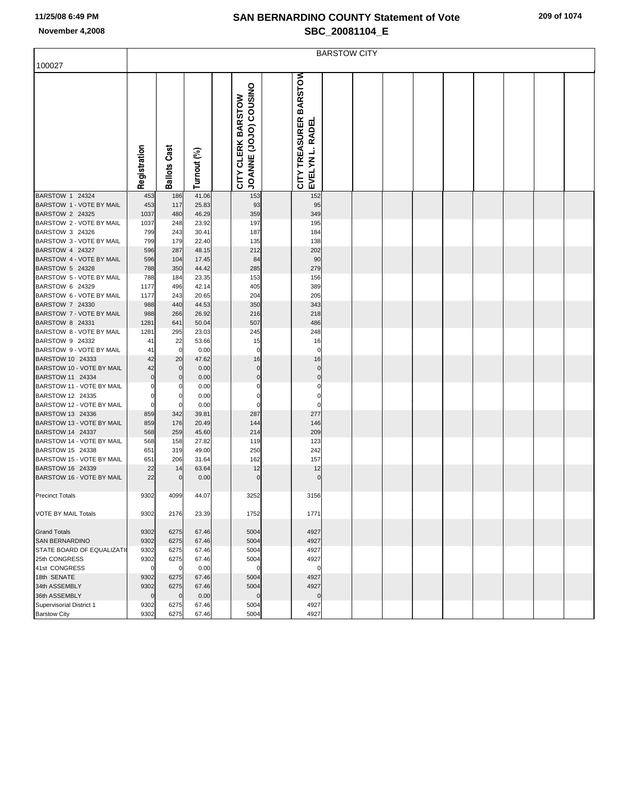|                                               | <b>BARSTOW CITY</b> |                     |                |  |                                             |  |                                           |  |  |  |  |  |  |  |  |  |
|-----------------------------------------------|---------------------|---------------------|----------------|--|---------------------------------------------|--|-------------------------------------------|--|--|--|--|--|--|--|--|--|
| 100027                                        |                     |                     |                |  |                                             |  |                                           |  |  |  |  |  |  |  |  |  |
|                                               | Registration        | <b>Ballots Cast</b> | Turnout (%)    |  | JOANNE (JOJO) COUSINO<br>CITY CLERK BARSTOW |  | CITY TREASURER BARSTOW<br>EVELYN L. RADEL |  |  |  |  |  |  |  |  |  |
| BARSTOW 1 24324                               | 453                 | 186                 | 41.06          |  | 153                                         |  | 152                                       |  |  |  |  |  |  |  |  |  |
| BARSTOW 1 - VOTE BY MAIL                      | 453                 | 117                 | 25.83          |  | 93                                          |  | 95                                        |  |  |  |  |  |  |  |  |  |
| BARSTOW 2 24325<br>BARSTOW 2 - VOTE BY MAIL   | 1037                | 480                 | 46.29          |  | 359                                         |  | 349                                       |  |  |  |  |  |  |  |  |  |
| BARSTOW 3 24326                               | 1037<br>799         | 248<br>243          | 23.92<br>30.41 |  | 197<br>187                                  |  | 195<br>184                                |  |  |  |  |  |  |  |  |  |
| BARSTOW 3 - VOTE BY MAIL                      | 799                 | 179                 | 22.40          |  | 135                                         |  | 138                                       |  |  |  |  |  |  |  |  |  |
| BARSTOW 4 24327                               | 596                 | 287                 | 48.15          |  | 212                                         |  | 202                                       |  |  |  |  |  |  |  |  |  |
| BARSTOW 4 - VOTE BY MAIL                      | 596                 | 104                 | 17.45          |  | 84                                          |  | 90                                        |  |  |  |  |  |  |  |  |  |
| BARSTOW 5 24328                               | 788                 | 350                 | 44.42          |  | 285                                         |  | 279                                       |  |  |  |  |  |  |  |  |  |
| BARSTOW 5 - VOTE BY MAIL                      | 788                 | 184                 | 23.35          |  | 153                                         |  | 156                                       |  |  |  |  |  |  |  |  |  |
| BARSTOW 6 24329                               | 1177                | 496                 | 42.14          |  | 405                                         |  | 389                                       |  |  |  |  |  |  |  |  |  |
| BARSTOW 6 - VOTE BY MAIL                      | 1177                | 243                 | 20.65          |  | 204                                         |  | 205                                       |  |  |  |  |  |  |  |  |  |
| BARSTOW 7 24330<br>BARSTOW 7 - VOTE BY MAIL   | 988                 | 440                 | 44.53          |  | 350                                         |  | 343                                       |  |  |  |  |  |  |  |  |  |
| BARSTOW 8 24331                               | 988<br>1281         | 266<br>641          | 26.92<br>50.04 |  | 216<br>507                                  |  | 218<br>486                                |  |  |  |  |  |  |  |  |  |
| BARSTOW 8 - VOTE BY MAIL                      | 1281                | 295                 | 23.03          |  | 245                                         |  | 248                                       |  |  |  |  |  |  |  |  |  |
| BARSTOW 9 24332                               | 41                  | 22                  | 53.66          |  | 15                                          |  | 16                                        |  |  |  |  |  |  |  |  |  |
| BARSTOW 9 - VOTE BY MAIL                      | 41                  | $\mathbf 0$         | 0.00           |  | $\pmb{0}$                                   |  | 0                                         |  |  |  |  |  |  |  |  |  |
| BARSTOW 10 24333                              | 42                  | 20                  | 47.62          |  | 16                                          |  | 16                                        |  |  |  |  |  |  |  |  |  |
| BARSTOW 10 - VOTE BY MAIL                     | 42                  | $\mathbf 0$         | 0.00           |  | $\pmb{0}$                                   |  | $\mathbf 0$                               |  |  |  |  |  |  |  |  |  |
| BARSTOW 11 24334                              |                     | $\mathbf 0$         | 0.00           |  | $\pmb{0}$                                   |  | $\mathbf 0$                               |  |  |  |  |  |  |  |  |  |
| BARSTOW 11 - VOTE BY MAIL                     |                     |                     | 0.00           |  | 0                                           |  | 0                                         |  |  |  |  |  |  |  |  |  |
| BARSTOW 12 24335                              | 0                   | 0                   | 0.00           |  | $\pmb{0}$                                   |  | $\mathbf 0$                               |  |  |  |  |  |  |  |  |  |
| BARSTOW 12 - VOTE BY MAIL<br>BARSTOW 13 24336 | $\Omega$            | 0                   | 0.00           |  | $\mathbf 0$                                 |  | C                                         |  |  |  |  |  |  |  |  |  |
| BARSTOW 13 - VOTE BY MAIL                     | 859<br>859          | 342<br>176          | 39.81<br>20.49 |  | 287<br>144                                  |  | 277<br>146                                |  |  |  |  |  |  |  |  |  |
| BARSTOW 14 24337                              | 568                 | 259                 | 45.60          |  | 214                                         |  | 209                                       |  |  |  |  |  |  |  |  |  |
| BARSTOW 14 - VOTE BY MAIL                     | 568                 | 158                 | 27.82          |  | 119                                         |  | 123                                       |  |  |  |  |  |  |  |  |  |
| BARSTOW 15 24338                              | 651                 | 319                 | 49.00          |  | 250                                         |  | 242                                       |  |  |  |  |  |  |  |  |  |
| BARSTOW 15 - VOTE BY MAIL                     | 651                 | 206                 | 31.64          |  | 162                                         |  | 157                                       |  |  |  |  |  |  |  |  |  |
| BARSTOW 16 24339                              | 22                  | 14                  | 63.64          |  | 12                                          |  | 12                                        |  |  |  |  |  |  |  |  |  |
| BARSTOW 16 - VOTE BY MAIL                     | 22                  | $\mathbf 0$         | 0.00           |  | $\mathbf 0$                                 |  | $\mathcal{C}$                             |  |  |  |  |  |  |  |  |  |
| <b>Precinct Totals</b>                        | 9302                | 4099                | 44.07          |  | 3252                                        |  | 3156                                      |  |  |  |  |  |  |  |  |  |
|                                               |                     |                     |                |  |                                             |  |                                           |  |  |  |  |  |  |  |  |  |
| <b>VOTE BY MAIL Totals</b>                    | 9302                | 2176                | 23.39          |  | 1752                                        |  | 1771                                      |  |  |  |  |  |  |  |  |  |
| <b>Grand Totals</b>                           | 9302                | 6275                | 67.46          |  | 5004                                        |  | 4927                                      |  |  |  |  |  |  |  |  |  |
| <b>SAN BERNARDINO</b>                         | 9302                | 6275                | 67.46          |  | 5004                                        |  | 4927                                      |  |  |  |  |  |  |  |  |  |
| <b>STATE BOARD OF EQUALIZATI</b>              | 9302                | 6275                | 67.46          |  | 5004                                        |  | 4927                                      |  |  |  |  |  |  |  |  |  |
| 25th CONGRESS                                 | 9302                | 6275                | 67.46          |  | 5004                                        |  | 4927                                      |  |  |  |  |  |  |  |  |  |
| 41st CONGRESS                                 | $\mathbf 0$         | $\mathbf 0$         | 0.00           |  | 0                                           |  | $\mathbf 0$                               |  |  |  |  |  |  |  |  |  |
| 18th SENATE<br>34th ASSEMBLY                  | 9302                | 6275                | 67.46          |  | 5004                                        |  | 4927                                      |  |  |  |  |  |  |  |  |  |
| 36th ASSEMBLY                                 | 9302<br>$\Omega$    | 6275<br>$\mathbf 0$ | 67.46<br>0.00  |  | 5004<br>$\mathbf 0$                         |  | 4927<br>$\mathcal{C}$                     |  |  |  |  |  |  |  |  |  |
| Supervisorial District 1                      | 9302                | 6275                | 67.46          |  | 5004                                        |  | 4927                                      |  |  |  |  |  |  |  |  |  |
| <b>Barstow City</b>                           | 9302                | 6275                | 67.46          |  | 5004                                        |  | 4927                                      |  |  |  |  |  |  |  |  |  |